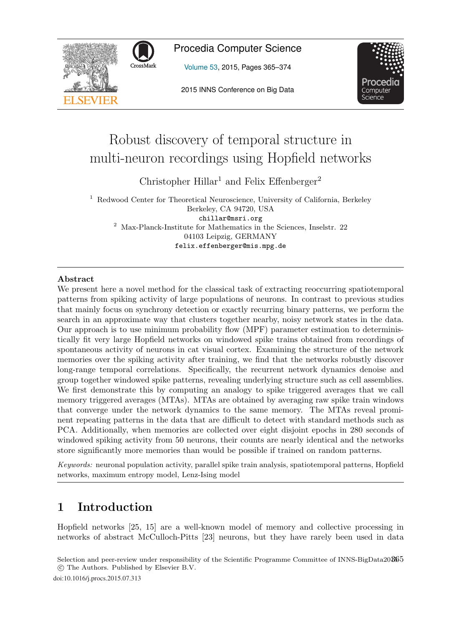



Procedia Computer Science

Volume 53, 2015, Pages 365–374



2015 INNS Conference on Big Data

# Robust discovery of temporal structure in multi-neuron recordings using Hopfield networks

Christopher Hillar<sup>1</sup> and Felix Effenberger<sup>2</sup>

<sup>1</sup> Redwood Center for Theoretical Neuroscience, University of California, Berkeley Berkeley, CA 94720, USA chillar@msri.org <sup>2</sup> Max-Planck-Institute for Mathematics in the Sciences, Inselstr. 22 04103 Leipzig, GERMANY felix.effenberger@mis.mpg.de

#### **Abstract**

We present here a novel method for the classical task of extracting reoccurring spatiotemporal patterns from spiking activity of large populations of neurons. In contrast to previous studies that mainly focus on synchrony detection or exactly recurring binary patterns, we perform the search in an approximate way that clusters together nearby, noisy network states in the data. Our approach is to use minimum probability flow (MPF) parameter estimation to deterministically fit very large Hopfield networks on windowed spike trains obtained from recordings of spontaneous activity of neurons in cat visual cortex. Examining the structure of the network memories over the spiking activity after training, we find that the networks robustly discover long-range temporal correlations. Specifically, the recurrent network dynamics denoise and group together windowed spike patterns, revealing underlying structure such as cell assemblies. We first demonstrate this by computing an analogy to spike triggered averages that we call memory triggered averages (MTAs). MTAs are obtained by averaging raw spike train windows that converge under the network dynamics to the same memory. The MTAs reveal prominent repeating patterns in the data that are difficult to detect with standard methods such as PCA. Additionally, when memories are collected over eight disjoint epochs in 280 seconds of windowed spiking activity from 50 neurons, their counts are nearly identical and the networks store significantly more memories than would be possible if trained on random patterns.

Keywords: neuronal population activity, parallel spike train analysis, spatiotemporal patterns, Hopfield networks, maximum entropy model, Lenz-Ising model

## **1 Introduction**

Hopfield networks [25, 15] are a well-known model of memory and collective processing in networks of abstract McCulloch-Pitts [23] neurons, but they have rarely been used in data

Selection and peer-review under responsibility of the Scientific Programme Committee of INNS-BigData20 $365$ -c The Authors. Published by Elsevier B.V.

doi: 10.1016/j.procs.2015.07.313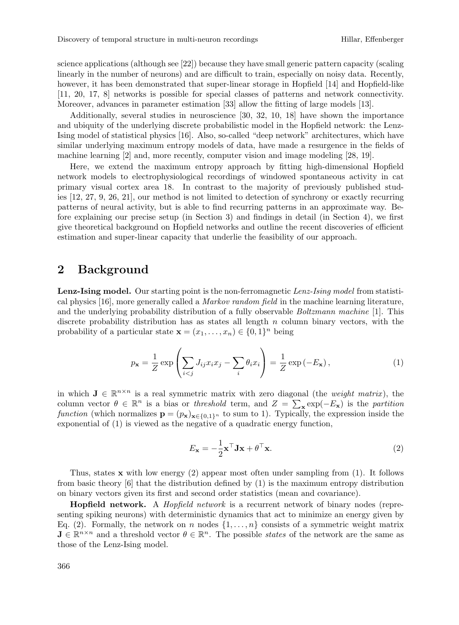science applications (although see [22]) because they have small generic pattern capacity (scaling linearly in the number of neurons) and are difficult to train, especially on noisy data. Recently, however, it has been demonstrated that super-linear storage in Hopfield [14] and Hopfield-like [11, 20, 17, 8] networks is possible for special classes of patterns and network connectivity. Moreover, advances in parameter estimation [33] allow the fitting of large models [13].

Additionally, several studies in neuroscience [30, 32, 10, 18] have shown the importance and ubiquity of the underlying discrete probabilistic model in the Hopfield network: the Lenz-Ising model of statistical physics [16]. Also, so-called "deep network" architectures, which have similar underlying maximum entropy models of data, have made a resurgence in the fields of machine learning [2] and, more recently, computer vision and image modeling [28, 19].

Here, we extend the maximum entropy approach by fitting high-dimensional Hopfield network models to electrophysiological recordings of windowed spontaneous activity in cat primary visual cortex area 18. In contrast to the majority of previously published studies [12, 27, 9, 26, 21], our method is not limited to detection of synchrony or exactly recurring patterns of neural activity, but is able to find recurring patterns in an approximate way. Before explaining our precise setup (in Section 3) and findings in detail (in Section 4), we first give theoretical background on Hopfield networks and outline the recent discoveries of efficient estimation and super-linear capacity that underlie the feasibility of our approach.

### **2 Background**

Lenz-Ising model. Our starting point is the non-ferromagnetic Lenz-Ising model from statistical physics [16], more generally called a Markov random field in the machine learning literature, and the underlying probability distribution of a fully observable *Boltzmann machine* [1]. This discrete probability distribution has as states all length  $n$  column binary vectors, with the probability of a particular state  $\mathbf{x} = (x_1, \ldots, x_n) \in \{0, 1\}^n$  being

$$
p_{\mathbf{x}} = \frac{1}{Z} \exp\left(\sum_{i < j} J_{ij} x_i x_j - \sum_i \theta_i x_i\right) = \frac{1}{Z} \exp(-E_{\mathbf{x}}),\tag{1}
$$

in which  $J \in \mathbb{R}^{n \times n}$  is a real symmetric matrix with zero diagonal (the *weight matrix*), the column vector  $\theta \in \mathbb{R}^n$  is a bias or threshold term, and  $Z = \sum_{\mathbf{x}} exp(-E_{\mathbf{x}})$  is the partition function (which normalizes  $\mathbf{p} = (p_{\mathbf{x}})_{\mathbf{x} \in \{0,1\}^n}$  to sum to 1). Typically, the expression inside the exponential of (1) is viewed as the negative of a quadratic energy function,

$$
E_{\mathbf{x}} = -\frac{1}{2}\mathbf{x}^{\top}\mathbf{J}\mathbf{x} + \theta^{\top}\mathbf{x}.\tag{2}
$$

Thus, states  $\bf{x}$  with low energy (2) appear most often under sampling from (1). It follows from basic theory [6] that the distribution defined by (1) is the maximum entropy distribution on binary vectors given its first and second order statistics (mean and covariance).

**Hopfield network.** A Hopfield network is a recurrent network of binary nodes (representing spiking neurons) with deterministic dynamics that act to minimize an energy given by Eq. (2). Formally, the network on n nodes  $\{1,\ldots,n\}$  consists of a symmetric weight matrix  $\mathbf{J} \in \mathbb{R}^{n \times n}$  and a threshold vector  $\theta \in \mathbb{R}^n$ . The possible *states* of the network are the same as those of the Lenz-Ising model.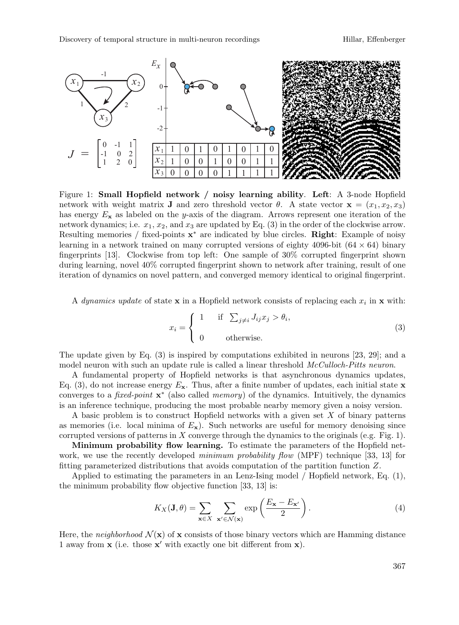

Figure 1: **Small Hopfield network / noisy learning ability**. **Left**: A 3-node Hopfield network with weight matrix **J** and zero threshold vector  $\theta$ . A state vector **x** =  $(x_1, x_2, x_3)$ has energy  $E_x$  as labeled on the y-axis of the diagram. Arrows represent one iteration of the network dynamics; i.e.  $x_1, x_2$ , and  $x_3$  are updated by Eq. (3) in the order of the clockwise arrow. Resulting memories / fixed-points **x**<sup>∗</sup> are indicated by blue circles. **Right**: Example of noisy learning in a network trained on many corrupted versions of eighty 4096-bit  $(64 \times 64)$  binary fingerprints [13]. Clockwise from top left: One sample of 30% corrupted fingerprint shown during learning, novel 40% corrupted fingerprint shown to network after training, result of one iteration of dynamics on novel pattern, and converged memory identical to original fingerprint.

A dynamics update of state **x** in a Hopfield network consists of replacing each  $x_i$  in **x** with:

$$
x_i = \begin{cases} 1 & \text{if } \sum_{j \neq i} J_{ij} x_j > \theta_i, \\ 0 & \text{otherwise.} \end{cases}
$$
 (3)

The update given by Eq. (3) is inspired by computations exhibited in neurons [23, 29]; and a model neuron with such an update rule is called a linear threshold McCulloch-Pitts neuron.

A fundamental property of Hopfield networks is that asynchronous dynamics updates, Eq. (3), do not increase energy  $E_x$ . Thus, after a finite number of updates, each initial state **x** converges to a fixed-point **x**<sup>∗</sup> (also called memory) of the dynamics. Intuitively, the dynamics is an inference technique, producing the most probable nearby memory given a noisy version.

A basic problem is to construct Hopfield networks with a given set X of binary patterns as memories (i.e. local minima of  $E_x$ ). Such networks are useful for memory denoising since corrupted versions of patterns in  $X$  converge through the dynamics to the originals (e.g. Fig. 1).

**Minimum probability flow learning.** To estimate the parameters of the Hopfield network, we use the recently developed *minimum probability flow* (MPF) technique [33, 13] for fitting parameterized distributions that avoids computation of the partition function Z.

Applied to estimating the parameters in an Lenz-Ising model / Hopfield network, Eq. (1), the minimum probability flow objective function [33, 13] is:

$$
K_X(\mathbf{J}, \theta) = \sum_{\mathbf{x} \in X} \sum_{\mathbf{x}' \in \mathcal{N}(\mathbf{x})} \exp\left(\frac{E_{\mathbf{x}} - E_{\mathbf{x}'}}{2}\right). \tag{4}
$$

Here, the *neighborhood*  $\mathcal{N}(\mathbf{x})$  of **x** consists of those binary vectors which are Hamming distance 1 away from **x** (i.e. those **x** with exactly one bit different from **x**).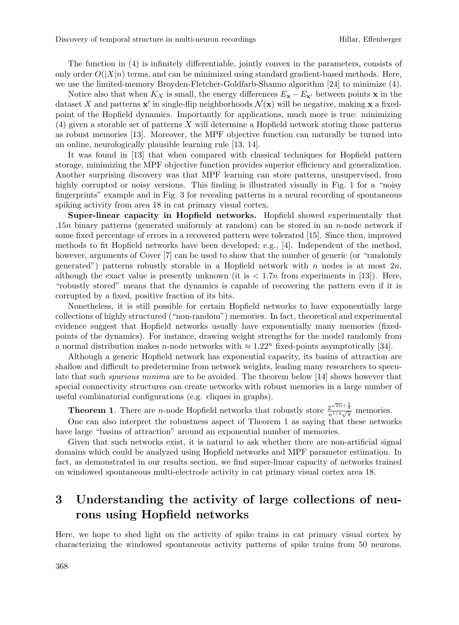The function in (4) is infinitely differentiable, jointly convex in the parameters, consists of only order  $O(|X|n)$  terms, and can be minimized using standard gradient-based methods. Here, we use the limited-memory Broyden-Fletcher-Goldfarb-Shanno algorithm [24] to minimize (4).

Notice also that when  $K_X$  is small, the energy differences  $E_x - E_{x'}$  between points **x** in the dataset X and patterns **x**' in single-flip neighborhoods  $\mathcal{N}(\mathbf{x})$  will be negative, making **x** a fixedpoint of the Hopfield dynamics. Importantly for applications, much more is true: minimizing (4) given a storable set of patterns X will determine a Hopfield network storing those patterns as robust memories [13]. Moreover, the MPF objective function can naturally be turned into an online, neurologically plausible learning rule [13, 14].

It was found in [13] that when compared with classical techniques for Hopfield pattern storage, minimizing the MPF objective function provides superior efficiency and generalization. Another surprising discovery was that MPF learning can store patterns, unsupervised, from highly corrupted or noisy versions. This finding is illustrated visually in Fig. 1 for a "noisy fingerprints" example and in Fig. 3 for revealing patterns in a neural recording of spontaneous spiking activity from area 18 in cat primary visual cortex.

**Super-linear capacity in Hopfield networks.** Hopfield showed experimentally that .15n binary patterns (generated uniformly at random) can be stored in an n-node network if some fixed percentage of errors in a recovered pattern were tolerated [15]. Since then, improved methods to fit Hopfield networks have been developed; e.g., [4]. Independent of the method, however, arguments of Cover [7] can be used to show that the number of generic (or "randomly generated") patterns robustly storable in a Hopfield network with n nodes is at most  $2n$ , although the exact value is presently unknown (it is  $\lt 1.7n$  from experiments in [13]). Here, "robustly stored" means that the dynamics is capable of recovering the pattern even if it is corrupted by a fixed, positive fraction of its bits.

Nonetheless, it is still possible for certain Hopfield networks to have exponentially large collections of highly structured ("non-random") memories. In fact, theoretical and experimental evidence suggest that Hopfield networks usually have exponentially many memories (fixedpoints of the dynamics). For instance, drawing weight strengths for the model randomly from a normal distribution makes n-node networks with  $\approx 1.22^n$  fixed-points asymptotically [34].

Although a generic Hopfield network has exponential capacity, its basins of attraction are shallow and difficult to predetermine from network weights, leading many researchers to speculate that such *spurious minima* are to be avoided. The theorem below [14] shows however that special connectivity structures can create networks with robust memories in a large number of useful combinatorial configurations (e.g. cliques in graphs).

**Theorem 1**. There are *n*-node Hopfield networks that robustly store  $\frac{2^{\sqrt{2n}+\frac{1}{4}}}{n^{1/4}\sqrt{\pi}}$  memories.

One can also interpret the robustness aspect of Theorem 1 as saying that these networks have large "basins of attraction" around an exponential number of memories.

Given that such networks exist, it is natural to ask whether there are non-artificial signal domains which could be analyzed using Hopfield networks and MPF parameter estimation. In fact, as demonstrated in our results section, we find super-linear capacity of networks trained on windowed spontaneous multi-electrode activity in cat primary visual cortex area 18.

### **3 Understanding the activity of large collections of neurons using Hopfield networks**

Here, we hope to shed light on the activity of spike trains in cat primary visual cortex by characterizing the windowed spontaneous activity patterns of spike trains from 50 neurons.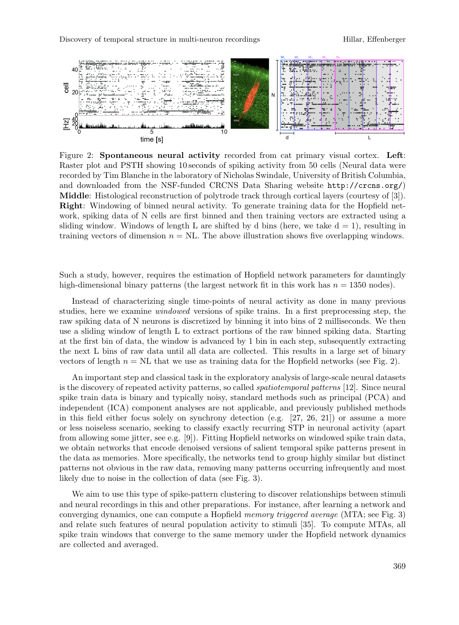

Figure 2: **Spontaneous neural activity** recorded from cat primary visual cortex. **Left**: Raster plot and PSTH showing 10 seconds of spiking activity from 50 cells (Neural data were recorded by Tim Blanche in the laboratory of Nicholas Swindale, University of British Columbia, and downloaded from the NSF-funded CRCNS Data Sharing website http://crcns.org/) **Middle**: Histological reconstruction of polytrode track through cortical layers (courtesy of [3]). **Right**: Windowing of binned neural activity. To generate training data for the Hopfield network, spiking data of N cells are first binned and then training vectors are extracted using a sliding window. Windows of length L are shifted by d bins (here, we take  $d = 1$ ), resulting in training vectors of dimension  $n = NL$ . The above illustration shows five overlapping windows.

Such a study, however, requires the estimation of Hopfield network parameters for dauntingly high-dimensional binary patterns (the largest network fit in this work has  $n = 1350$  nodes).

Instead of characterizing single time-points of neural activity as done in many previous studies, here we examine windowed versions of spike trains. In a first preprocessing step, the raw spiking data of N neurons is discretized by binning it into bins of 2 milliseconds. We then use a sliding window of length L to extract portions of the raw binned spiking data. Starting at the first bin of data, the window is advanced by 1 bin in each step, subsequently extracting the next L bins of raw data until all data are collected. This results in a large set of binary vectors of length  $n = NL$  that we use as training data for the Hopfield networks (see Fig. 2).

An important step and classical task in the exploratory analysis of large-scale neural datasets is the discovery of repeated activity patterns, so called *spatiotemporal patterns* [12]. Since neural spike train data is binary and typically noisy, standard methods such as principal (PCA) and independent (ICA) component analyses are not applicable, and previously published methods in this field either focus solely on synchrony detection (e.g. [27, 26, 21]) or assume a more or less noiseless scenario, seeking to classify exactly recurring STP in neuronal activity (apart from allowing some jitter, see e.g. [9]). Fitting Hopfield networks on windowed spike train data, we obtain networks that encode denoised versions of salient temporal spike patterns present in the data as memories. More specifically, the networks tend to group highly similar but distinct patterns not obvious in the raw data, removing many patterns occurring infrequently and most likely due to noise in the collection of data (see Fig. 3).

We aim to use this type of spike-pattern clustering to discover relationships between stimuli and neural recordings in this and other preparations. For instance, after learning a network and converging dynamics, one can compute a Hopfield memory triggered average (MTA; see Fig. 3) and relate such features of neural population activity to stimuli [35]. To compute MTAs, all spike train windows that converge to the same memory under the Hopfield network dynamics are collected and averaged.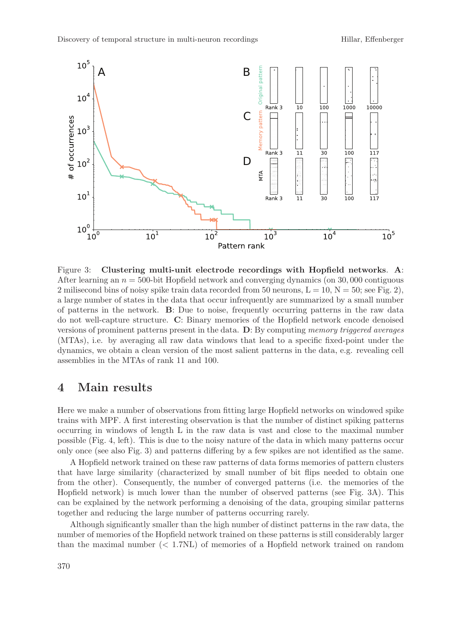

Figure 3: **Clustering multi-unit electrode recordings with Hopfield networks**. **A**: After learning an  $n = 500$ -bit Hopfield network and converging dynamics (on 30,000 contiguous 2 milisecond bins of noisy spike train data recorded from 50 neurons,  $L = 10$ ,  $N = 50$ ; see Fig. 2), a large number of states in the data that occur infrequently are summarized by a small number of patterns in the network. **B**: Due to noise, frequently occurring patterns in the raw data do not well-capture structure. **C**: Binary memories of the Hopfield network encode denoised versions of prominent patterns present in the data. **D**: By computing memory triggered averages (MTAs), i.e. by averaging all raw data windows that lead to a specific fixed-point under the dynamics, we obtain a clean version of the most salient patterns in the data, e.g. revealing cell assemblies in the MTAs of rank 11 and 100.

#### **4 Main results**

Here we make a number of observations from fitting large Hopfield networks on windowed spike trains with MPF. A first interesting observation is that the number of distinct spiking patterns occurring in windows of length L in the raw data is vast and close to the maximal number possible (Fig. 4, left). This is due to the noisy nature of the data in which many patterns occur only once (see also Fig. 3) and patterns differing by a few spikes are not identified as the same.

A Hopfield network trained on these raw patterns of data forms memories of pattern clusters that have large similarity (characterized by small number of bit flips needed to obtain one from the other). Consequently, the number of converged patterns (i.e. the memories of the Hopfield network) is much lower than the number of observed patterns (see Fig. 3A). This can be explained by the network performing a denoising of the data, grouping similar patterns together and reducing the large number of patterns occurring rarely.

Although significantly smaller than the high number of distinct patterns in the raw data, the number of memories of the Hopfield network trained on these patterns is still considerably larger than the maximal number (< 1.7NL) of memories of a Hopfield network trained on random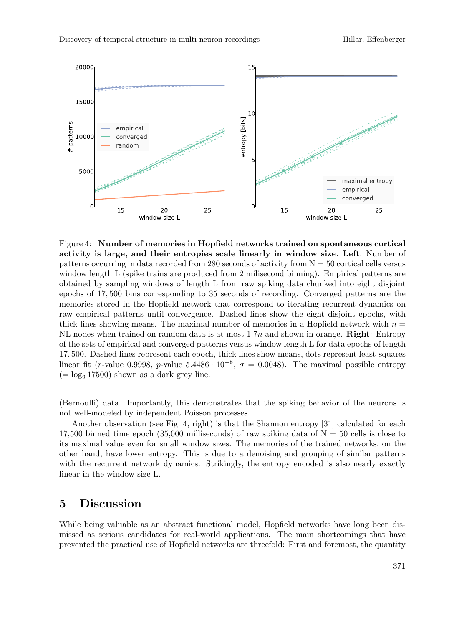

Figure 4: **Number of memories in Hopfield networks trained on spontaneous cortical activity is large, and their entropies scale linearly in window size**. **Left**: Number of patterns occurring in data recorded from 280 seconds of activity from  $N = 50$  cortical cells versus window length L (spike trains are produced from 2 milisecond binning). Empirical patterns are obtained by sampling windows of length L from raw spiking data chunked into eight disjoint epochs of 17, 500 bins corresponding to 35 seconds of recording. Converged patterns are the memories stored in the Hopfield network that correspond to iterating recurrent dynamics on raw empirical patterns until convergence. Dashed lines show the eight disjoint epochs, with thick lines showing means. The maximal number of memories in a Hopfield network with  $n =$ NL nodes when trained on random data is at most 1.7n and shown in orange. **Right**: Entropy of the sets of empirical and converged patterns versus window length L for data epochs of length 17, 500. Dashed lines represent each epoch, thick lines show means, dots represent least-squares linear fit (r-value 0.9998, p-value 5.4486 · 10<sup>-8</sup>,  $\sigma = 0.0048$ ). The maximal possible entropy  $(=\log_2 17500)$  shown as a dark grey line.

(Bernoulli) data. Importantly, this demonstrates that the spiking behavior of the neurons is not well-modeled by independent Poisson processes.

Another observation (see Fig. 4, right) is that the Shannon entropy [31] calculated for each 17,500 binned time epoch  $(35,000 \text{ milliseconds})$  of raw spiking data of  $N = 50$  cells is close to its maximal value even for small window sizes. The memories of the trained networks, on the other hand, have lower entropy. This is due to a denoising and grouping of similar patterns with the recurrent network dynamics. Strikingly, the entropy encoded is also nearly exactly linear in the window size L.

### **5 Discussion**

While being valuable as an abstract functional model, Hopfield networks have long been dismissed as serious candidates for real-world applications. The main shortcomings that have prevented the practical use of Hopfield networks are threefold: First and foremost, the quantity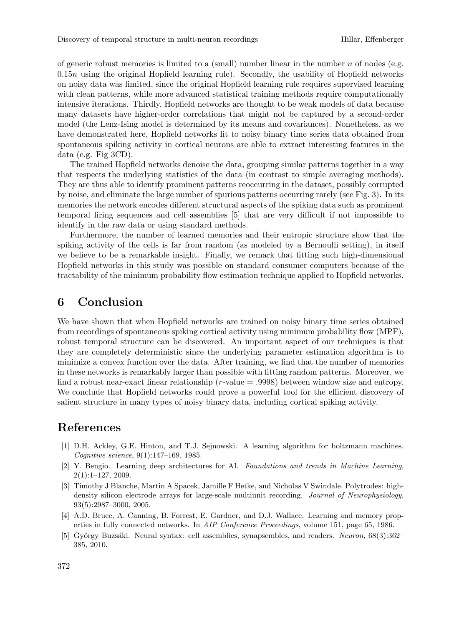Discovery of temporal structure in multi-neuron recordings Hillar, Effenberger

of generic robust memories is limited to a (small) number linear in the number  $n$  of nodes (e.g.  $0.15n$  using the original Hopfield learning rule). Secondly, the usability of Hopfield networks on noisy data was limited, since the original Hopfield learning rule requires supervised learning with clean patterns, while more advanced statistical training methods require computationally intensive iterations. Thirdly, Hopfield networks are thought to be weak models of data because many datasets have higher-order correlations that might not be captured by a second-order model (the Lenz-Ising model is determined by its means and covariances). Nonetheless, as we have demonstrated here, Hopfield networks fit to noisy binary time series data obtained from spontaneous spiking activity in cortical neurons are able to extract interesting features in the data (e.g. Fig 3CD).

The trained Hopfield networks denoise the data, grouping similar patterns together in a way that respects the underlying statistics of the data (in contrast to simple averaging methods). They are thus able to identify prominent patterns reoccurring in the dataset, possibly corrupted by noise, and eliminate the large number of spurious patterns occurring rarely (see Fig. 3). In its memories the network encodes different structural aspects of the spiking data such as prominent temporal firing sequences and cell assemblies [5] that are very difficult if not impossible to identify in the raw data or using standard methods.

Furthermore, the number of learned memories and their entropic structure show that the spiking activity of the cells is far from random (as modeled by a Bernoulli setting), in itself we believe to be a remarkable insight. Finally, we remark that fitting such high-dimensional Hopfield networks in this study was possible on standard consumer computers because of the tractability of the minimum probability flow estimation technique applied to Hopfield networks.

### **6 Conclusion**

We have shown that when Hopfield networks are trained on noisy binary time series obtained from recordings of spontaneous spiking cortical activity using minimum probability flow (MPF), robust temporal structure can be discovered. An important aspect of our techniques is that they are completely deterministic since the underlying parameter estimation algorithm is to minimize a convex function over the data. After training, we find that the number of memories in these networks is remarkably larger than possible with fitting random patterns. Moreover, we find a robust near-exact linear relationship ( $r$ -value = .9998) between window size and entropy. We conclude that Hopfield networks could prove a powerful tool for the efficient discovery of salient structure in many types of noisy binary data, including cortical spiking activity.

### **References**

- [1] D.H. Ackley, G.E. Hinton, and T.J. Sejnowski. A learning algorithm for boltzmann machines. Cognitive science, 9(1):147–169, 1985.
- [2] Y. Bengio. Learning deep architectures for AI. Foundations and trends in Machine Learning, 2(1):1–127, 2009.
- [3] Timothy J Blanche, Martin A Spacek, Jamille F Hetke, and Nicholas V Swindale. Polytrodes: highdensity silicon electrode arrays for large-scale multiunit recording. Journal of Neurophysiology, 93(5):2987–3000, 2005.
- [4] A.D. Bruce, A. Canning, B. Forrest, E. Gardner, and D.J. Wallace. Learning and memory properties in fully connected networks. In AIP Conference Proceedings, volume 151, page 65, 1986.
- [5] György Buzsáki. Neural syntax: cell assemblies, synapsembles, and readers. Neuron, 68(3):362– 385, 2010.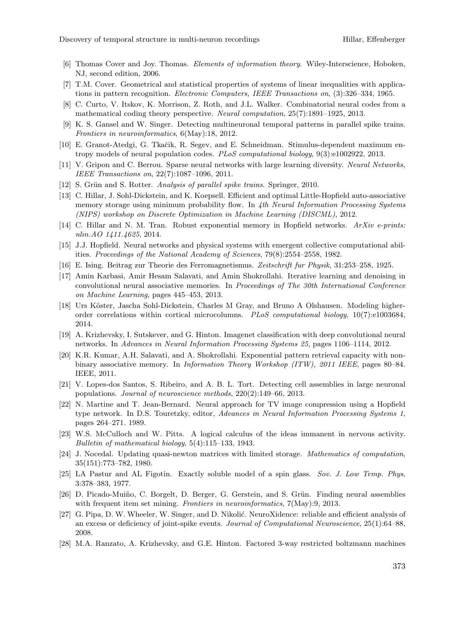- [6] Thomas Cover and Joy. Thomas. Elements of information theory. Wiley-Interscience, Hoboken, NJ, second edition, 2006.
- [7] T.M. Cover. Geometrical and statistical properties of systems of linear inequalities with applications in pattern recognition. Electronic Computers, IEEE Transactions on, (3):326–334, 1965.
- [8] C. Curto, V. Itskov, K. Morrison, Z. Roth, and J.L. Walker. Combinatorial neural codes from a mathematical coding theory perspective. Neural computation, 25(7):1891–1925, 2013.
- [9] K. S. Gansel and W. Singer. Detecting multineuronal temporal patterns in parallel spike trains. Frontiers in neuroinformatics, 6(May):18, 2012.
- [10] E. Granot-Atedgi, G. Tkačik, R. Segev, and E. Schneidman. Stimulus-dependent maximum entropy models of neural population codes. PLoS computational biology, 9(3):e1002922, 2013.
- [11] V. Gripon and C. Berrou. Sparse neural networks with large learning diversity. Neural Networks, IEEE Transactions on, 22(7):1087–1096, 2011.
- [12] S. Grün and S. Rotter. Analysis of parallel spike trains. Springer, 2010.
- [13] C. Hillar, J. Sohl-Dickstein, and K. Koepsell. Efficient and optimal Little-Hopfield auto-associative memory storage using minimum probability flow. In 4th Neural Information Processing Systems (NIPS) workshop on Discrete Optimization in Machine Learning (DISCML), 2012.
- [14] C. Hillar and N. M. Tran. Robust exponential memory in Hopfield networks.  $ArXiv$  e-prints: nlin.AO 1411.4625, 2014.
- [15] J.J. Hopfield. Neural networks and physical systems with emergent collective computational abilities. Proceedings of the National Academy of Sciences, 79(8):2554–2558, 1982.
- [16] E. Ising. Beitrag zur Theorie des Ferromagnetismus. Zeitschrift fur Physik, 31:253–258, 1925.
- [17] Amin Karbasi, Amir Hesam Salavati, and Amin Shokrollahi. Iterative learning and denoising in convolutional neural associative memories. In Proceedings of The 30th International Conference on Machine Learning, pages 445–453, 2013.
- [18] Urs Köster, Jascha Sohl-Dickstein, Charles M Gray, and Bruno A Olshausen. Modeling higherorder correlations within cortical microcolumns. PLoS computational biology, 10(7):e1003684, 2014.
- [19] A. Krizhevsky, I. Sutskever, and G. Hinton. Imagenet classification with deep convolutional neural networks. In Advances in Neural Information Processing Systems 25, pages 1106–1114, 2012.
- [20] K.R. Kumar, A.H. Salavati, and A. Shokrollahi. Exponential pattern retrieval capacity with nonbinary associative memory. In *Information Theory Workshop (ITW)*, 2011 IEEE, pages 80–84. IEEE, 2011.
- [21] V. Lopes-dos Santos, S. Ribeiro, and A. B. L. Tort. Detecting cell assemblies in large neuronal populations. Journal of neuroscience methods, 220(2):149–66, 2013.
- [22] N. Martine and T. Jean-Bernard. Neural approach for TV image compression using a Hopfield type network. In D.S. Touretzky, editor, Advances in Neural Information Processing Systems 1, pages 264–271. 1989.
- [23] W.S. McCulloch and W. Pitts. A logical calculus of the ideas immanent in nervous activity. Bulletin of mathematical biology, 5(4):115–133, 1943.
- [24] J. Nocedal. Updating quasi-newton matrices with limited storage. Mathematics of computation, 35(151):773–782, 1980.
- [25] LA Pastur and AL Figotin. Exactly soluble model of a spin glass. Sov. J. Low Temp. Phys, 3:378–383, 1977.
- [26] D. Picado-Muiño, C. Borgelt, D. Berger, G. Gerstein, and S. Grün. Finding neural assemblies with frequent item set mining. Frontiers in neuroinformatics, 7(May):9, 2013.
- [27] G. Pipa, D. W. Wheeler, W. Singer, and D. Nikolić. NeuroXidence: reliable and efficient analysis of an excess or deficiency of joint-spike events. Journal of Computational Neuroscience, 25(1):64–88, 2008.
- [28] M.A. Ranzato, A. Krizhevsky, and G.E. Hinton. Factored 3-way restricted boltzmann machines